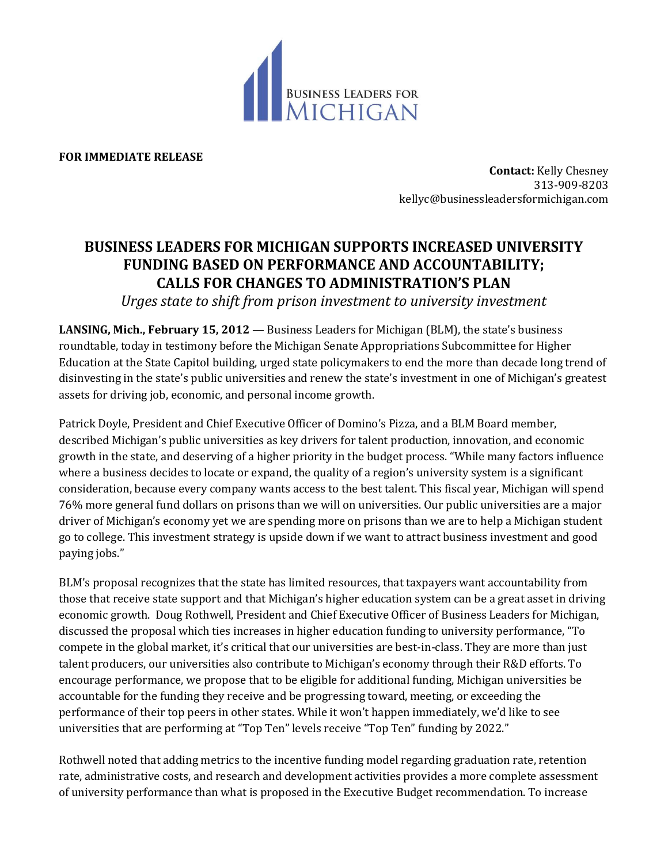

**FOR IMMEDIATE RELEASE**

**Contact:** Kelly Chesney 313-909-8203 kellyc@businessleadersformichigan.com

## **BUSINESS LEADERS FOR MICHIGAN SUPPORTS INCREASED UNIVERSITY FUNDING BASED ON PERFORMANCE AND ACCOUNTABILITY; CALLS FOR CHANGES TO ADMINISTRATION'S PLAN**

*Urges state to shift from prison investment to university investment*

**LANSING, Mich., February 15, 2012** — Business Leaders for Michigan (BLM), the state's business roundtable, today in testimony before the Michigan Senate Appropriations Subcommittee for Higher Education at the State Capitol building, urged state policymakers to end the more than decade long trend of disinvesting in the state's public universities and renew the state's investment in one of Michigan's greatest assets for driving job, economic, and personal income growth.

Patrick Doyle, President and Chief Executive Officer of Domino's Pizza, and a BLM Board member, described Michigan's public universities as key drivers for talent production, innovation, and economic growth in the state, and deserving of a higher priority in the budget process. "While many factors influence where a business decides to locate or expand, the quality of a region's university system is a significant consideration, because every company wants access to the best talent. This fiscal year, Michigan will spend 76% more general fund dollars on prisons than we will on universities. Our public universities are a major driver of Michigan's economy yet we are spending more on prisons than we are to help a Michigan student go to college. This investment strategy is upside down if we want to attract business investment and good paying jobs."

BLM's proposal recognizes that the state has limited resources, that taxpayers want accountability from those that receive state support and that Michigan's higher education system can be a great asset in driving economic growth. Doug Rothwell, President and Chief Executive Officer of Business Leaders for Michigan, discussed the proposal which ties increases in higher education funding to university performance, "To compete in the global market, it's critical that our universities are best-in-class. They are more than just talent producers, our universities also contribute to Michigan's economy through their R&D efforts. To encourage performance, we propose that to be eligible for additional funding, Michigan universities be accountable for the funding they receive and be progressing toward, meeting, or exceeding the performance of their top peers in other states. While it won't happen immediately, we'd like to see universities that are performing at "Top Ten" levels receive "Top Ten" funding by 2022."

Rothwell noted that adding metrics to the incentive funding model regarding graduation rate, retention rate, administrative costs, and research and development activities provides a more complete assessment of university performance than what is proposed in the Executive Budget recommendation. To increase